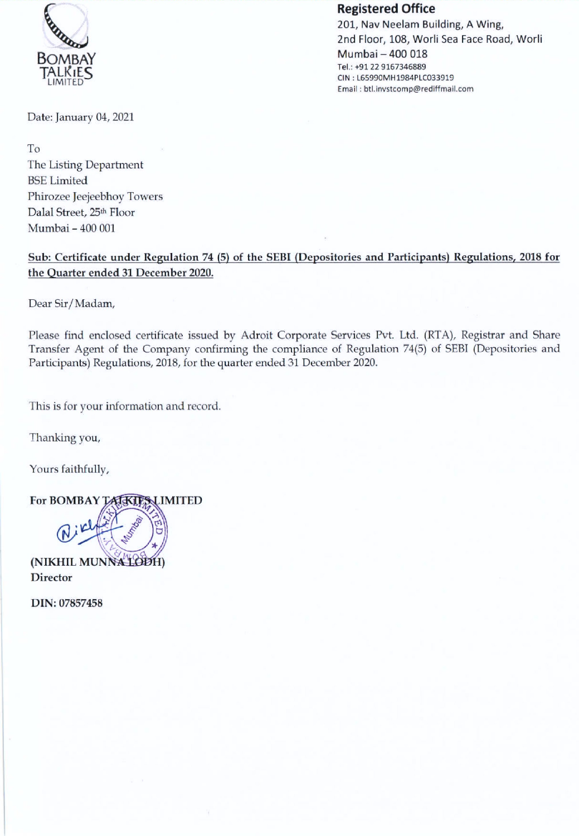

## Registered Office

201, Nav Neelam Building, A Wing, 2nd Floor, 108, Worli Sea Face Road, Worli Mumbai — 400 018 Tel.: +91 22 9167346889 CIN : L65990MH1984PLC033919 Email : btl.invstcomp@rediffmail.com

Date: January 04, 2021

To The Listing Department BSE Limited Phirozee Jeejeebhoy Towers Dalal Street, 25th Floor Mumbai - 400 001

Sub: Certificate under Regulation 74 (5) of the SEBI (Depositories and Participants) Regulations, 2018 for the Quarter ended 31 December 2020.

Dear Sir/Madam,

Please find enclosed certificate issued by Adroit Corporate Services Pvt. Ltd. (RTA), Registrar and Share Transfer Agent of the Company confirming the compliance of Regulation 74(5) of SEBI (Depositories and Participants) Regulations, 2018, for the quarter ended 31 December 2020.

This is for your information and record.

Thanking you,

Yours faithfully,





**Director** 

DIN: 07857458